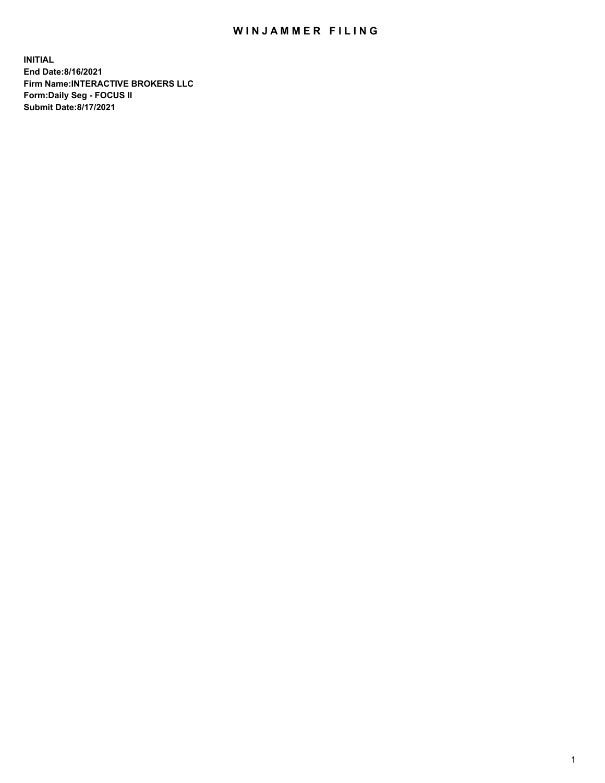## WIN JAMMER FILING

**INITIAL End Date:8/16/2021 Firm Name:INTERACTIVE BROKERS LLC Form:Daily Seg - FOCUS II Submit Date:8/17/2021**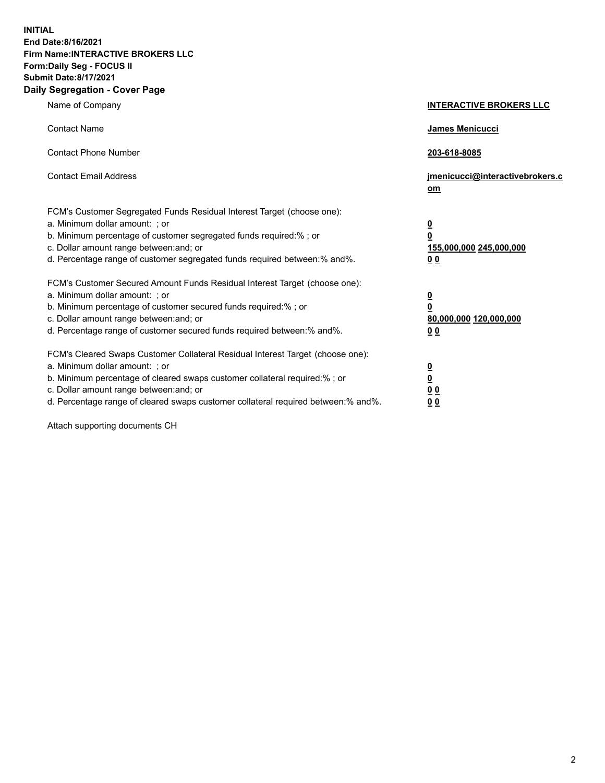**INITIAL End Date:8/16/2021 Firm Name:INTERACTIVE BROKERS LLC Form:Daily Seg - FOCUS II Submit Date:8/17/2021 Daily Segregation - Cover Page**

| Name of Company                                                                                                                                                                                                                                                                                                               | <b>INTERACTIVE BROKERS LLC</b>                                                            |  |
|-------------------------------------------------------------------------------------------------------------------------------------------------------------------------------------------------------------------------------------------------------------------------------------------------------------------------------|-------------------------------------------------------------------------------------------|--|
| <b>Contact Name</b>                                                                                                                                                                                                                                                                                                           | James Menicucci                                                                           |  |
| <b>Contact Phone Number</b>                                                                                                                                                                                                                                                                                                   | 203-618-8085                                                                              |  |
| <b>Contact Email Address</b>                                                                                                                                                                                                                                                                                                  | jmenicucci@interactivebrokers.c<br><u>om</u>                                              |  |
| FCM's Customer Segregated Funds Residual Interest Target (choose one):<br>a. Minimum dollar amount: ; or<br>b. Minimum percentage of customer segregated funds required:% ; or<br>c. Dollar amount range between: and; or<br>d. Percentage range of customer segregated funds required between: % and %.                      | $\overline{\mathbf{0}}$<br>0<br>155,000,000 245,000,000<br>0 <sub>0</sub>                 |  |
| FCM's Customer Secured Amount Funds Residual Interest Target (choose one):<br>a. Minimum dollar amount: ; or<br>b. Minimum percentage of customer secured funds required:%; or<br>c. Dollar amount range between: and; or<br>d. Percentage range of customer secured funds required between:% and%.                           | <u>0</u><br>$\overline{\mathbf{0}}$<br>80,000,000 120,000,000<br>00                       |  |
| FCM's Cleared Swaps Customer Collateral Residual Interest Target (choose one):<br>a. Minimum dollar amount: ; or<br>b. Minimum percentage of cleared swaps customer collateral required:%; or<br>c. Dollar amount range between: and; or<br>d. Percentage range of cleared swaps customer collateral required between:% and%. | <u>0</u><br>$\underline{\mathbf{0}}$<br>$\underline{0}$ $\underline{0}$<br>0 <sub>0</sub> |  |

Attach supporting documents CH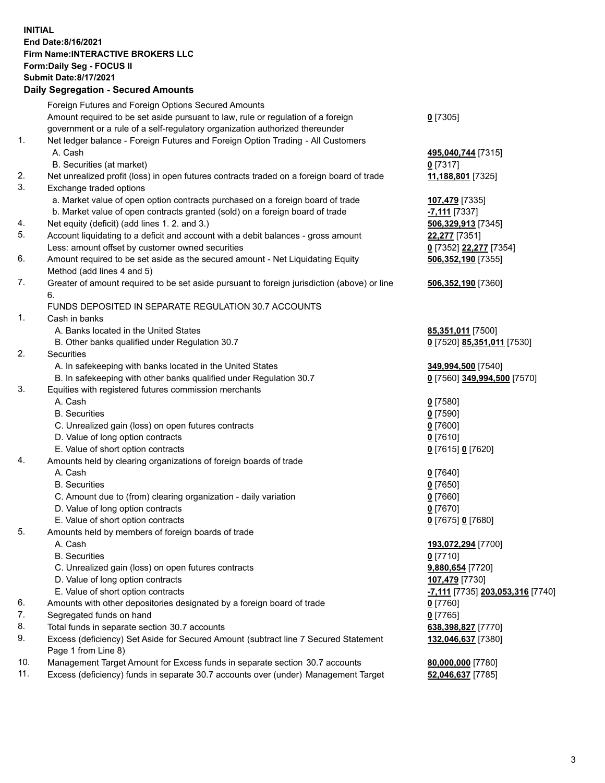**INITIAL End Date:8/16/2021 Firm Name:INTERACTIVE BROKERS LLC Form:Daily Seg - FOCUS II Submit Date:8/17/2021 Daily Segregation - Secured Amounts**

## Foreign Futures and Foreign Options Secured Amounts Amount required to be set aside pursuant to law, rule or regulation of a foreign government or a rule of a self-regulatory organization authorized thereunder **0** [7305] 1. Net ledger balance - Foreign Futures and Foreign Option Trading - All Customers A. Cash **495,040,744** [7315] B. Securities (at market) **0** [7317] 2. Net unrealized profit (loss) in open futures contracts traded on a foreign board of trade **11,188,801** [7325] 3. Exchange traded options a. Market value of open option contracts purchased on a foreign board of trade **107,479** [7335] b. Market value of open contracts granted (sold) on a foreign board of trade **-7,111** [7337] 4. Net equity (deficit) (add lines 1. 2. and 3.) **506,329,913** [7345] 5. Account liquidating to a deficit and account with a debit balances - gross amount **22,277** [7351] Less: amount offset by customer owned securities **0** [7352] **22,277** [7354] 6. Amount required to be set aside as the secured amount - Net Liquidating Equity Method (add lines 4 and 5) **506,352,190** [7355] 7. Greater of amount required to be set aside pursuant to foreign jurisdiction (above) or line 6. **506,352,190** [7360] FUNDS DEPOSITED IN SEPARATE REGULATION 30.7 ACCOUNTS 1. Cash in banks A. Banks located in the United States **85,351,011** [7500] B. Other banks qualified under Regulation 30.7 **0** [7520] **85,351,011** [7530] 2. Securities A. In safekeeping with banks located in the United States **349,994,500** [7540] B. In safekeeping with other banks qualified under Regulation 30.7 **0** [7560] **349,994,500** [7570] 3. Equities with registered futures commission merchants A. Cash **0** [7580] B. Securities **0** [7590] C. Unrealized gain (loss) on open futures contracts **0** [7600] D. Value of long option contracts **0** [7610] E. Value of short option contracts **0** [7615] **0** [7620] 4. Amounts held by clearing organizations of foreign boards of trade A. Cash **0** [7640] B. Securities **0** [7650] C. Amount due to (from) clearing organization - daily variation **0** [7660] D. Value of long option contracts **0** [7670] E. Value of short option contracts **0** [7675] **0** [7680] 5. Amounts held by members of foreign boards of trade A. Cash **193,072,294** [7700] B. Securities **0** [7710] C. Unrealized gain (loss) on open futures contracts **9,880,654** [7720] D. Value of long option contracts **107,479** [7730] E. Value of short option contracts **-7,111** [7735] **203,053,316** [7740] 6. Amounts with other depositories designated by a foreign board of trade **0** [7760] 7. Segregated funds on hand **0** [7765] 8. Total funds in separate section 30.7 accounts **638,398,827** [7770] 9. Excess (deficiency) Set Aside for Secured Amount (subtract line 7 Secured Statement Page 1 from Line 8) **132,046,637** [7380] 10. Management Target Amount for Excess funds in separate section 30.7 accounts **80,000,000** [7780] 11. Excess (deficiency) funds in separate 30.7 accounts over (under) Management Target **52,046,637** [7785]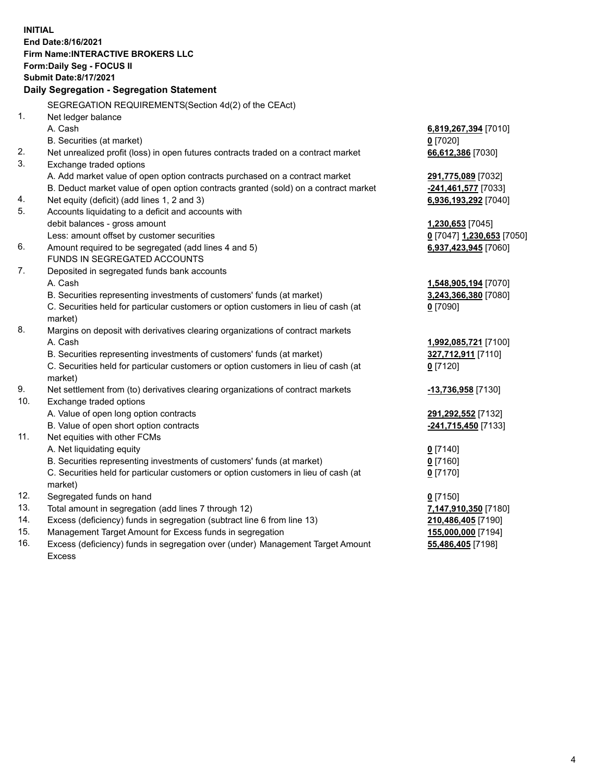**INITIAL End Date:8/16/2021 Firm Name:INTERACTIVE BROKERS LLC Form:Daily Seg - FOCUS II Submit Date:8/17/2021 Daily Segregation - Segregation Statement** SEGREGATION REQUIREMENTS(Section 4d(2) of the CEAct) 1. Net ledger balance A. Cash **6,819,267,394** [7010] B. Securities (at market) **0** [7020] 2. Net unrealized profit (loss) in open futures contracts traded on a contract market **66,612,386** [7030] 3. Exchange traded options A. Add market value of open option contracts purchased on a contract market **291,775,089** [7032] B. Deduct market value of open option contracts granted (sold) on a contract market **-241,461,577** [7033] 4. Net equity (deficit) (add lines 1, 2 and 3) **6,936,193,292** [7040] 5. Accounts liquidating to a deficit and accounts with debit balances - gross amount **1,230,653** [7045] Less: amount offset by customer securities **0** [7047] **1,230,653** [7050] 6. Amount required to be segregated (add lines 4 and 5) **6,937,423,945** [7060] FUNDS IN SEGREGATED ACCOUNTS 7. Deposited in segregated funds bank accounts A. Cash **1,548,905,194** [7070] B. Securities representing investments of customers' funds (at market) **3,243,366,380** [7080] C. Securities held for particular customers or option customers in lieu of cash (at market) **0** [7090] 8. Margins on deposit with derivatives clearing organizations of contract markets A. Cash **1,992,085,721** [7100] B. Securities representing investments of customers' funds (at market) **327,712,911** [7110] C. Securities held for particular customers or option customers in lieu of cash (at market) **0** [7120] 9. Net settlement from (to) derivatives clearing organizations of contract markets **-13,736,958** [7130] 10. Exchange traded options A. Value of open long option contracts **291,292,552** [7132] B. Value of open short option contracts **-241,715,450** [7133] 11. Net equities with other FCMs A. Net liquidating equity **0** [7140] B. Securities representing investments of customers' funds (at market) **0** [7160] C. Securities held for particular customers or option customers in lieu of cash (at market) **0** [7170] 12. Segregated funds on hand **0** [7150] 13. Total amount in segregation (add lines 7 through 12) **7,147,910,350** [7180] 14. Excess (deficiency) funds in segregation (subtract line 6 from line 13) **210,486,405** [7190] 15. Management Target Amount for Excess funds in segregation **155,000,000** [7194] **55,486,405** [7198]

16. Excess (deficiency) funds in segregation over (under) Management Target Amount Excess